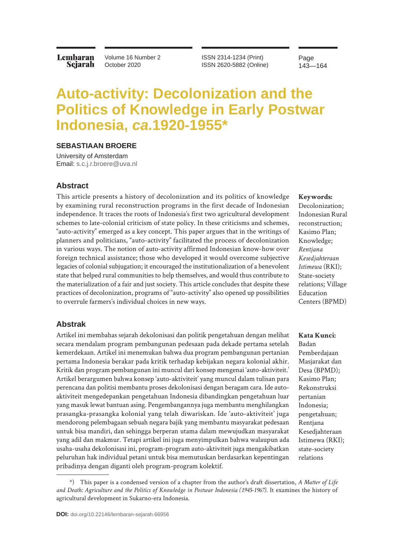**Lembaran** Sejarah Volume 16 Number 2 October 2020

ISSN 2314-1234 (Print) ISSN 2620-5882 (Online) Page 143—164

# **Auto-activity: Decolonization and the Politics of Knowledge in Early Postwar Indonesia,** *ca***.1920-1955\***

#### **SEBASTIAAN BROERE**

University of Amsterdam Email: [s.c.j.r.broere@uva.nl](mailto:s.c.j.r.broere%40uva.nl?subject=)

#### **Abstract**

This article presents a history of decolonization and its politics of knowledge by examining rural reconstruction programs in the first decade of Indonesian independence. It traces the roots of Indonesia's first two agricultural development schemes to late-colonial criticism of state policy. In these criticisms and schemes, "auto-activity" emerged as a key concept. This paper argues that in the writings of planners and politicians, "auto-activity" facilitated the process of decolonization in various ways. The notion of auto-activity affirmed Indonesian know-how over foreign technical assistance; those who developed it would overcome subjective legacies of colonial subjugation; it encouraged the institutionalization of a benevolent state that helped rural communities to help themselves, and would thus contribute to the materialization of a fair and just society. This article concludes that despite these practices of decolonization, programs of "auto-activity" also opened up possibilities to overrule farmers's individual choices in new ways.

#### **Abstrak**

Artikel ini membahas sejarah dekolonisasi dan politik pengetahuan dengan melihat secara mendalam program pembangunan pedesaan pada dekade pertama setelah kemerdekaan. Artikel ini menemukan bahwa dua program pembangunan pertanian pertama Indonesia berakar pada kritik terhadap kebijakan negara kolonial akhir. Kritik dan program pembangunan ini muncul dari konsep mengenai 'auto-aktiviteit.' Artikel berargumen bahwa konsep 'auto-aktiviteit' yang muncul dalam tulisan para perencana dan politisi membantu proses dekolonisasi dengan beragam cara. Ide autoaktiviteit mengedepankan pengetahuan Indonesia dibandingkan pengetahuan luar yang masuk lewat bantuan asing. Pengembangannya juga membantu menghilangkan prasangka-prasangka kolonial yang telah diwariskan. Ide 'auto-aktiviteit' juga mendorong pelembagaan sebuah negara bajik yang membantu masyarakat pedesaan untuk bisa mandiri, dan sehingga berperan utama dalam mewujudkan masyarakat yang adil dan makmur. Tetapi artikel ini juga menyimpulkan bahwa walaupun ada usaha-usaha dekolonisasi ini, program-program auto-aktiviteit juga mengakibatkan peluruhan hak individual petani untuk bisa memutuskan berdasarkan kepentingan pribadinya dengan diganti oleh program-program kolektif.

#### **Keywords:**

Decolonization; Indonesian Rural reconstruction; Kasimo Plan; Knowledge; *Rentjana Kesedjahteraan Istimewa* (RKI); State-society relations; Village Education Centers (BPMD)

**Kata Kunci:**  Badan Pemberdajaan Masjarakat dan Desa (BPMD); Kasimo Plan; Rekonstruksi pertanian Indonesia; pengetahuan; Rentjana Kesedjahteraan Istimewa (RKI); state-society relations

<sup>\*)</sup> This paper is a condensed version of a chapter from the author's draft dissertation, *A Matter of Life and Death: Agriculture and the Politics of Knowledge in Postwar Indonesia (1945-1967)*. It examines the history of agricultural development in Sukarno-era Indonesia.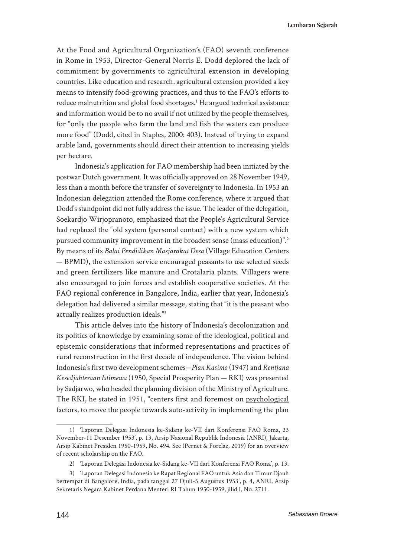At the Food and Agricultural Organization's (FAO) seventh conference in Rome in 1953, Director-General Norris E. Dodd deplored the lack of commitment by governments to agricultural extension in developing countries. Like education and research, agricultural extension provided a key means to intensify food-growing practices, and thus to the FAO's efforts to reduce malnutrition and global food shortages.<sup>1</sup> He argued technical assistance and information would be to no avail if not utilized by the people themselves, for "only the people who farm the land and fish the waters can produce more food" (Dodd, cited in Staples, 2000: 403). Instead of trying to expand arable land, governments should direct their attention to increasing yields per hectare.

Indonesia's application for FAO membership had been initiated by the postwar Dutch government. It was officially approved on 28 November 1949, less than a month before the transfer of sovereignty to Indonesia. In 1953 an Indonesian delegation attended the Rome conference, where it argued that Dodd's standpoint did not fully address the issue. The leader of the delegation, Soekardjo Wirjopranoto, emphasized that the People's Agricultural Service had replaced the "old system (personal contact) with a new system which pursued community improvement in the broadest sense (mass education)".2 By means of its *Balai Pendidikan Masjarakat Desa* (Village Education Centers — BPMD), the extension service encouraged peasants to use selected seeds and green fertilizers like manure and Crotalaria plants. Villagers were also encouraged to join forces and establish cooperative societies. At the FAO regional conference in Bangalore, India, earlier that year, Indonesia's delegation had delivered a similar message, stating that "it is the peasant who actually realizes production ideals."3

This article delves into the history of Indonesia's decolonization and its politics of knowledge by examining some of the ideological, political and epistemic considerations that informed representations and practices of rural reconstruction in the first decade of independence. The vision behind Indonesia's first two development schemes—*Plan Kasimo* (1947) and *Rentjana Kesedjahteraan Istimewa* (1950, Special Prosperity Plan — RKI) was presented by Sadjarwo, who headed the planning division of the Ministry of Agriculture. The RKI, he stated in 1951, "centers first and foremost on psychological factors, to move the people towards auto-activity in implementing the plan

<sup>1)</sup> 'Laporan Delegasi Indonesia ke-Sidang ke-VII dari Konferensi FAO Roma, 23 November-11 Desember 1953', p. 13, Arsip Nasional Republik Indonesia (ANRI), Jakarta, Arsip Kabinet Presiden 1950-1959, No. 494. See (Pernet & Forclaz, 2019) for an overview of recent scholarship on the FAO.

<sup>2)</sup> 'Laporan Delegasi Indonesia ke-Sidang ke-VII dari Konferensi FAO Roma', p. 13.

<sup>3)</sup> 'Laporan Delegasi Indonesia ke Rapat Regional FAO untuk Asia dan Timur Djauh bertempat di Bangalore, India, pada tanggal 27 Djuli-5 Augustus 1953', p. 4, ANRI, Arsip Sekretaris Negara Kabinet Perdana Menteri RI Tahun 1950-1959, jilid I, No. 2711.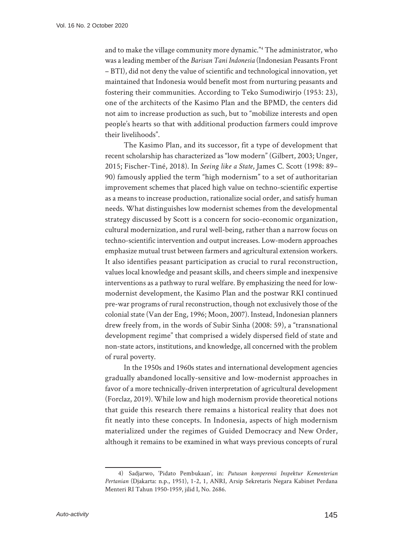and to make the village community more dynamic."4 The administrator, who was a leading member of the *Barisan Tani Indonesia* (Indonesian Peasants Front – BTI), did not deny the value of scientific and technological innovation, yet maintained that Indonesia would benefit most from nurturing peasants and fostering their communities. According to Teko Sumodiwirjo (1953: 23), one of the architects of the Kasimo Plan and the BPMD, the centers did not aim to increase production as such, but to "mobilize interests and open people's hearts so that with additional production farmers could improve their livelihoods".

The Kasimo Plan, and its successor, fit a type of development that recent scholarship has characterized as "low modern" (Gilbert, 2003; Unger, 2015; Fischer-Tiné, 2018). In *Seeing like a State*, James C. Scott (1998: 89– 90) famously applied the term "high modernism" to a set of authoritarian improvement schemes that placed high value on techno-scientific expertise as a means to increase production, rationalize social order, and satisfy human needs. What distinguishes low modernist schemes from the developmental strategy discussed by Scott is a concern for socio-economic organization, cultural modernization, and rural well-being, rather than a narrow focus on techno-scientific intervention and output increases. Low-modern approaches emphasize mutual trust between farmers and agricultural extension workers. It also identifies peasant participation as crucial to rural reconstruction, values local knowledge and peasant skills, and cheers simple and inexpensive interventions as a pathway to rural welfare. By emphasizing the need for lowmodernist development, the Kasimo Plan and the postwar RKI continued pre-war programs of rural reconstruction, though not exclusively those of the colonial state (Van der Eng, 1996; Moon, 2007). Instead, Indonesian planners drew freely from, in the words of Subir Sinha (2008: 59), a "transnational development regime" that comprised a widely dispersed field of state and non-state actors, institutions, and knowledge, all concerned with the problem of rural poverty.

In the 1950s and 1960s states and international development agencies gradually abandoned locally-sensitive and low-modernist approaches in favor of a more technically-driven interpretation of agricultural development (Forclaz, 2019). While low and high modernism provide theoretical notions that guide this research there remains a historical reality that does not fit neatly into these concepts. In Indonesia, aspects of high modernism materialized under the regimes of Guided Democracy and New Order, although it remains to be examined in what ways previous concepts of rural

<sup>4)</sup> Sadjarwo, 'Pidato Pembukaan', in: *Putusan konperensi Inspektur Kementerian Pertanian* (Djakarta: n.p., 1951), 1-2, 1, ANRI, Arsip Sekretaris Negara Kabinet Perdana Menteri RI Tahun 1950-1959, jilid I, No. 2686.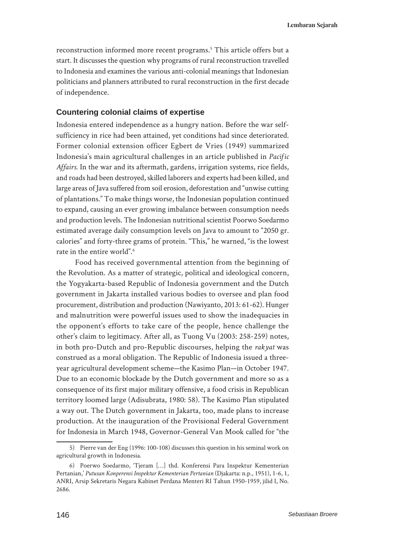reconstruction informed more recent programs.<sup>5</sup> This article offers but a start. It discusses the question why programs of rural reconstruction travelled to Indonesia and examines the various anti-colonial meanings that Indonesian politicians and planners attributed to rural reconstruction in the first decade of independence.

# **Countering colonial claims of expertise**

Indonesia entered independence as a hungry nation. Before the war selfsufficiency in rice had been attained, yet conditions had since deteriorated. Former colonial extension officer Egbert de Vries (1949) summarized Indonesia's main agricultural challenges in an article published in *Pacific Affairs*. In the war and its aftermath, gardens, irrigation systems, rice fields, and roads had been destroyed, skilled laborers and experts had been killed, and large areas of Java suffered from soil erosion, deforestation and "unwise cutting of plantations." To make things worse, the Indonesian population continued to expand, causing an ever growing imbalance between consumption needs and production levels. The Indonesian nutritional scientist Poorwo Soedarmo estimated average daily consumption levels on Java to amount to "2050 gr. calories" and forty-three grams of protein. "This," he warned, "is the lowest rate in the entire world".6

Food has received governmental attention from the beginning of the Revolution. As a matter of strategic, political and ideological concern, the Yogyakarta-based Republic of Indonesia government and the Dutch government in Jakarta installed various bodies to oversee and plan food procurement, distribution and production (Nawiyanto, 2013: 61-62). Hunger and malnutrition were powerful issues used to show the inadequacies in the opponent's efforts to take care of the people, hence challenge the other's claim to legitimacy. After all, as Tuong Vu (2003: 258-259) notes, in both pro-Dutch and pro-Republic discourses, helping the *rakyat* was construed as a moral obligation. The Republic of Indonesia issued a threeyear agricultural development scheme—the Kasimo Plan—in October 1947. Due to an economic blockade by the Dutch government and more so as a consequence of its first major military offensive, a food crisis in Republican territory loomed large (Adisubrata, 1980: 58). The Kasimo Plan stipulated a way out. The Dutch government in Jakarta, too, made plans to increase production. At the inauguration of the Provisional Federal Government for Indonesia in March 1948, Governor-General Van Mook called for "the

<sup>5)</sup> Pierre van der Eng (1996: 100-108) discusses this question in his seminal work on agricultural growth in Indonesia.

<sup>6)</sup> Poerwo Soedarmo, 'Tjeram […] thd. Konferensi Para Inspektur Kementerian Pertanian,' *Putusan Konperensi Inspektur Kementerian Pertanian* (Djakarta: n.p., 1951), 1-6, 1, ANRI, Arsip Sekretaris Negara Kabinet Perdana Menteri RI Tahun 1950-1959, jilid I, No. 2686.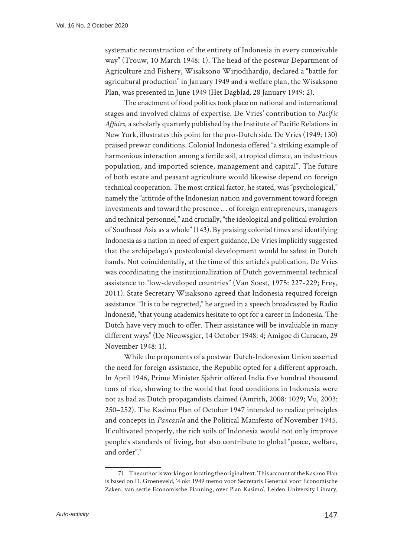systematic reconstruction of the entirety of Indonesia in every conceivable way" (Trouw, 10 March 1948: 1). The head of the postwar Department of Agriculture and Fishery, Wisaksono Wirjodihardjo, declared a "battle for agricultural production" in January 1949 and a welfare plan, the Wisaksono Plan, was presented in June 1949 (Het Dagblad*,* 28 January 1949: 2).

The enactment of food politics took place on national and international stages and involved claims of expertise. De Vries' contribution to *Pacific Affairs*, a scholarly quarterly published by the Institute of Pacific Relations in New York, illustrates this point for the pro-Dutch side. De Vries (1949: 130) praised prewar conditions. Colonial Indonesia offered "a striking example of harmonious interaction among a fertile soil, a tropical climate, an industrious population, and imported science, management and capital". The future of both estate and peasant agriculture would likewise depend on foreign technical cooperation. The most critical factor, he stated, was "psychological," namely the "attitude of the Indonesian nation and government toward foreign investments and toward the presence … of foreign entrepreneurs, managers and technical personnel," and crucially, "the ideological and political evolution of Southeast Asia as a whole" (143). By praising colonial times and identifying Indonesia as a nation in need of expert guidance, De Vries implicitly suggested that the archipelago's postcolonial development would be safest in Dutch hands. Not coincidentally, at the time of this article's publication, De Vries was coordinating the institutionalization of Dutch governmental technical assistance to "low-developed countries" (Van Soest, 1975: 227-229; Frey, 2011). State Secretary Wisaksono agreed that Indonesia required foreign assistance. "It is to be regretted," he argued in a speech broadcasted by Radio Indonesië, "that young academics hesitate to opt for a career in Indonesia. The Dutch have very much to offer. Their assistance will be invaluable in many different ways" (De Nieuwsgier, 14 October 1948: 4; Amigoe di Curacao, 29 November 1948: 1).

While the proponents of a postwar Dutch-Indonesian Union asserted the need for foreign assistance, the Republic opted for a different approach. In April 1946, Prime Minister Sjahrir offered India five hundred thousand tons of rice, showing to the world that food conditions in Indonesia were not as bad as Dutch propagandists claimed (Amrith, 2008: 1029; Vu, 2003: 250–252). The Kasimo Plan of October 1947 intended to realize principles and concepts in *Pancasila* and the Political Manifesto of November 1945. If cultivated properly, the rich soils of Indonesia would not only improve people's standards of living, but also contribute to global "peace, welfare, and order".7

<sup>7)</sup> The author is working on locating the original text. This account of the Kasimo Plan is based on D. Groeneveld, '4 okt 1949 memo voor Secretaris Generaal voor Economische Zaken, van sectie Economische Planning, over Plan Kasimo', Leiden University Library,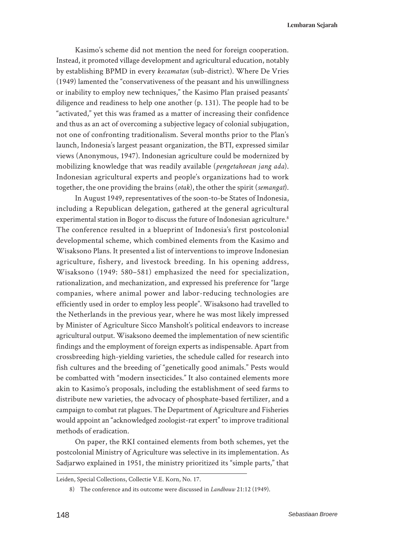**Lembaran Sejarah**

Kasimo's scheme did not mention the need for foreign cooperation. Instead, it promoted village development and agricultural education, notably by establishing BPMD in every *kecamatan* (sub-district). Where De Vries (1949) lamented the "conservativeness of the peasant and his unwillingness or inability to employ new techniques," the Kasimo Plan praised peasants' diligence and readiness to help one another (p. 131). The people had to be "activated," yet this was framed as a matter of increasing their confidence and thus as an act of overcoming a subjective legacy of colonial subjugation, not one of confronting traditionalism. Several months prior to the Plan's launch, Indonesia's largest peasant organization, the BTI, expressed similar views (Anonymous, 1947). Indonesian agriculture could be modernized by mobilizing knowledge that was readily available (*pengetahoean jang ada*). Indonesian agricultural experts and people's organizations had to work together, the one providing the brains (*otak*), the other the spirit (*semangat*).

In August 1949, representatives of the soon-to-be States of Indonesia, including a Republican delegation, gathered at the general agricultural experimental station in Bogor to discuss the future of Indonesian agriculture.<sup>8</sup> The conference resulted in a blueprint of Indonesia's first postcolonial developmental scheme, which combined elements from the Kasimo and Wisaksono Plans. It presented a list of interventions to improve Indonesian agriculture, fishery, and livestock breeding. In his opening address, Wisaksono (1949: 580–581) emphasized the need for specialization, rationalization, and mechanization, and expressed his preference for "large companies, where animal power and labor-reducing technologies are efficiently used in order to employ less people". Wisaksono had travelled to the Netherlands in the previous year, where he was most likely impressed by Minister of Agriculture Sicco Mansholt's political endeavors to increase agricultural output. Wisaksono deemed the implementation of new scientific findings and the employment of foreign experts as indispensable. Apart from crossbreeding high-yielding varieties, the schedule called for research into fish cultures and the breeding of "genetically good animals." Pests would be combatted with "modern insecticides." It also contained elements more akin to Kasimo's proposals, including the establishment of seed farms to distribute new varieties, the advocacy of phosphate-based fertilizer, and a campaign to combat rat plagues. The Department of Agriculture and Fisheries would appoint an "acknowledged zoologist-rat expert" to improve traditional methods of eradication.

On paper, the RKI contained elements from both schemes, yet the postcolonial Ministry of Agriculture was selective in its implementation. As Sadjarwo explained in 1951, the ministry prioritized its "simple parts," that

Leiden, Special Collections, Collectie V.E. Korn, No. 17.

<sup>8)</sup> The conference and its outcome were discussed in *Landbouw* 21:12 (1949).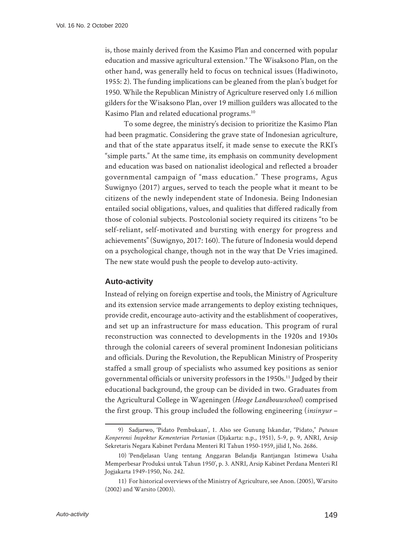is, those mainly derived from the Kasimo Plan and concerned with popular education and massive agricultural extension.<sup>9</sup> The Wisaksono Plan, on the other hand, was generally held to focus on technical issues (Hadiwinoto, 1955: 2). The funding implications can be gleaned from the plan's budget for 1950. While the Republican Ministry of Agriculture reserved only 1.6 million gilders for the Wisaksono Plan, over 19 million guilders was allocated to the Kasimo Plan and related educational programs.<sup>10</sup>

To some degree, the ministry's decision to prioritize the Kasimo Plan had been pragmatic. Considering the grave state of Indonesian agriculture, and that of the state apparatus itself, it made sense to execute the RKI's "simple parts." At the same time, its emphasis on community development and education was based on nationalist ideological and reflected a broader governmental campaign of "mass education." These programs, Agus Suwignyo (2017) argues, served to teach the people what it meant to be citizens of the newly independent state of Indonesia. Being Indonesian entailed social obligations, values, and qualities that differed radically from those of colonial subjects. Postcolonial society required its citizens "to be self-reliant, self-motivated and bursting with energy for progress and achievements" (Suwignyo, 2017: 160). The future of Indonesia would depend on a psychological change, though not in the way that De Vries imagined. The new state would push the people to develop auto-activity.

#### **Auto-activity**

Instead of relying on foreign expertise and tools, the Ministry of Agriculture and its extension service made arrangements to deploy existing techniques, provide credit, encourage auto-activity and the establishment of cooperatives, and set up an infrastructure for mass education. This program of rural reconstruction was connected to developments in the 1920s and 1930s through the colonial careers of several prominent Indonesian politicians and officials. During the Revolution, the Republican Ministry of Prosperity staffed a small group of specialists who assumed key positions as senior governmental officials or university professors in the 1950s.<sup>11</sup> Judged by their educational background, the group can be divided in two. Graduates from the Agricultural College in Wageningen (*Hooge Landbouwschool*) comprised the first group. This group included the following engineering (*insinyur* –

<sup>9)</sup> Sadjarwo, 'Pidato Pembukaan', 1. Also see Gunung Iskandar, "Pidato," *Putusan Konperensi Inspektur Kementerian Pertanian* (Djakarta: n.p., 1951), 5-9, p. 9, ANRI, Arsip Sekretaris Negara Kabinet Perdana Menteri RI Tahun 1950-1959, jilid I, No. 2686.

<sup>10)</sup> 'Pendjelasan Uang tentang Anggaran Belandja Rantjangan Istimewa Usaha Memperbesar Produksi untuk Tahun 1950', p. 3. ANRI, Arsip Kabinet Perdana Menteri RI Jogjakarta 1949-1950, No. 242.

<sup>11)</sup> For historical overviews of the Ministry of Agriculture, see Anon. (2005), Warsito (2002) and Warsito (2003).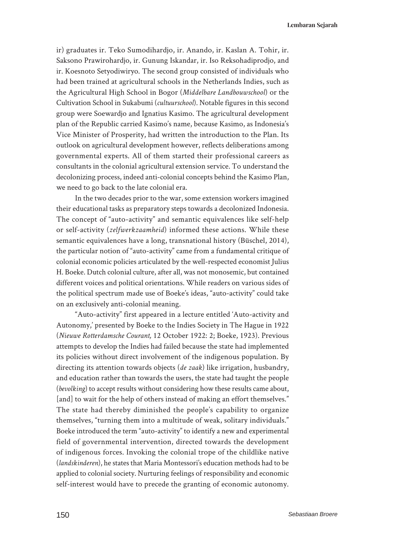ir) graduates ir. Teko Sumodihardjo, ir. Anando, ir. Kaslan A. Tohir, ir. Saksono Prawirohardjo, ir. Gunung Iskandar, ir. Iso Reksohadiprodjo, and ir. Koesnoto Setyodiwiryo. The second group consisted of individuals who had been trained at agricultural schools in the Netherlands Indies, such as the Agricultural High School in Bogor (*Middelbare Landbouwschool*) or the Cultivation School in Sukabumi (*cultuurschool*). Notable figures in this second group were Soewardjo and Ignatius Kasimo. The agricultural development plan of the Republic carried Kasimo's name, because Kasimo, as Indonesia's Vice Minister of Prosperity, had written the introduction to the Plan. Its outlook on agricultural development however, reflects deliberations among governmental experts. All of them started their professional careers as consultants in the colonial agricultural extension service. To understand the decolonizing process, indeed anti-colonial concepts behind the Kasimo Plan, we need to go back to the late colonial era.

In the two decades prior to the war, some extension workers imagined their educational tasks as preparatory steps towards a decolonized Indonesia. The concept of "auto-activity" and semantic equivalences like self-help or self-activity (*zelfwerkzaamheid*) informed these actions. While these semantic equivalences have a long, transnational history (Büschel, 2014), the particular notion of "auto-activity" came from a fundamental critique of colonial economic policies articulated by the well-respected economist Julius H. Boeke. Dutch colonial culture, after all, was not monosemic, but contained different voices and political orientations. While readers on various sides of the political spectrum made use of Boeke's ideas, "auto-activity" could take on an exclusively anti-colonial meaning.

"Auto-activity" first appeared in a lecture entitled 'Auto-activity and Autonomy,' presented by Boeke to the Indies Society in The Hague in 1922 (*Nieuwe Rotterdamsche Courant,* 12 October 1922: 2; Boeke, 1923). Previous attempts to develop the Indies had failed because the state had implemented its policies without direct involvement of the indigenous population. By directing its attention towards objects (*de zaak*) like irrigation, husbandry, and education rather than towards the users, the state had taught the people (*bevolking*) to accept results without considering how these results came about, [and] to wait for the help of others instead of making an effort themselves." The state had thereby diminished the people's capability to organize themselves, "turning them into a multitude of weak, solitary individuals." Boeke introduced the term "auto-activity" to identify a new and experimental field of governmental intervention, directed towards the development of indigenous forces. Invoking the colonial trope of the childlike native (*landskinderen*), he states that Maria Montessori's education methods had to be applied to colonial society. Nurturing feelings of responsibility and economic self-interest would have to precede the granting of economic autonomy.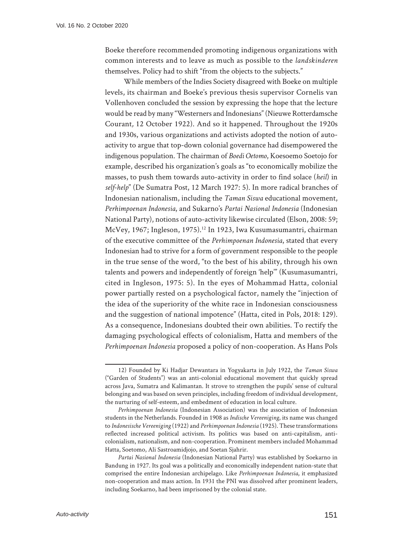Boeke therefore recommended promoting indigenous organizations with common interests and to leave as much as possible to the *landskinderen* themselves. Policy had to shift "from the objects to the subjects."

While members of the Indies Society disagreed with Boeke on multiple levels, its chairman and Boeke's previous thesis supervisor Cornelis van Vollenhoven concluded the session by expressing the hope that the lecture would be read by many "Westerners and Indonesians" (Nieuwe Rotterdamsche Courant*,* 12 October 1922). And so it happened. Throughout the 1920s and 1930s, various organizations and activists adopted the notion of autoactivity to argue that top-down colonial governance had disempowered the indigenous population. The chairman of *Boedi Oetomo*, Koesoemo Soetojo for example, described his organization's goals as "to economically mobilize the masses, to push them towards auto-activity in order to find solace (*heil*) in *self-help*" (De Sumatra Post, 12 March 1927: 5). In more radical branches of Indonesian nationalism, including the *Taman Siswa* educational movement, *Perhimpoenan Indonesia*, and Sukarno's *Partai Nasional Indonesia* (Indonesian National Party), notions of auto-activity likewise circulated (Elson, 2008: 59; McVey, 1967; Ingleson, 1975).<sup>12</sup> In 1923, Iwa Kusumasumantri, chairman of the executive committee of the *Perhimpoenan Indonesia*, stated that every Indonesian had to strive for a form of government responsible to the people in the true sense of the word, "to the best of his ability, through his own talents and powers and independently of foreign 'help'" (Kusumasumantri, cited in Ingleson, 1975: 5). In the eyes of Mohammad Hatta, colonial power partially rested on a psychological factor, namely the "injection of the idea of the superiority of the white race in Indonesian consciousness and the suggestion of national impotence" (Hatta, cited in Pols, 2018: 129). As a consequence, Indonesians doubted their own abilities. To rectify the damaging psychological effects of colonialism, Hatta and members of the *Perhimpoenan Indonesia* proposed a policy of non-cooperation. As Hans Pols

<sup>12)</sup> Founded by Ki Hadjar Dewantara in Yogyakarta in July 1922, the *Taman Siswa*  ("Garden of Students") was an anti-colonial educational movement that quickly spread across Java, Sumatra and Kalimantan. It strove to strengthen the pupils' sense of cultural belonging and was based on seven principles, including freedom of individual development, the nurturing of self-esteem, and embedment of education in local culture.

*Perhimpoenan Indonesia* (Indonesian Association) was the association of Indonesian students in the Netherlands. Founded in 1908 as *Indische Vereeniging*, its name was changed to *Indonesische Vereeniging* (1922) and *Perhimpoenan Indonesia* (1925). These transformations reflected increased political activism. Its politics was based on anti-capitalism, anticolonialism, nationalism, and non-cooperation. Prominent members included Mohammad Hatta, Soetomo, Ali Sastroamidjojo, and Soetan Sjahrir.

*Partai Nasional Indonesia* (Indonesian National Party) was established by Soekarno in Bandung in 1927. Its goal was a politically and economically independent nation-state that comprised the entire Indonesian archipelago. Like *Perhimpoenan Indonesia*, it emphasized non-cooperation and mass action. In 1931 the PNI was dissolved after prominent leaders, including Soekarno, had been imprisoned by the colonial state.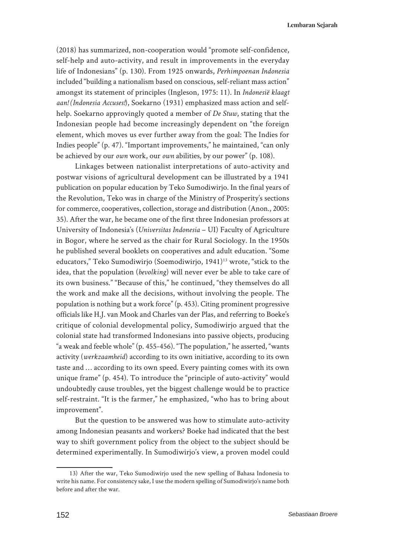(2018) has summarized, non-cooperation would "promote self-confidence, self-help and auto-activity, and result in improvements in the everyday life of Indonesians" (p. 130). From 1925 onwards, *Perhimpoenan Indonesia* included "building a nationalism based on conscious, self-reliant mass action" amongst its statement of principles (Ingleson, 1975: 11). In *Indonesië klaagt aan! (Indonesia Accuses!*), Soekarno (1931) emphasized mass action and selfhelp. Soekarno approvingly quoted a member of *De Stuw*, stating that the Indonesian people had become increasingly dependent on "the foreign element, which moves us ever further away from the goal: The Indies for Indies people" (p. 47). "Important improvements," he maintained, "can only be achieved by our *own* work, our *own* abilities*,* by our power" (p. 108).

Linkages between nationalist interpretations of auto-activity and postwar visions of agricultural development can be illustrated by a 1941 publication on popular education by Teko Sumodiwirjo. In the final years of the Revolution, Teko was in charge of the Ministry of Prosperity's sections for commerce, cooperatives, collection, storage and distribution (Anon., 2005: 35). After the war, he became one of the first three Indonesian professors at University of Indonesia's (*Universitas Indonesia* – UI) Faculty of Agriculture in Bogor, where he served as the chair for Rural Sociology. In the 1950s he published several booklets on cooperatives and adult education. "Some educators," Teko Sumodiwirjo (Soemodiwirjo, 1941)<sup>13</sup> wrote, "stick to the idea, that the population (*bevolking*) will never ever be able to take care of its own business." "Because of this," he continued, "they themselves do all the work and make all the decisions, without involving the people. The population is nothing but a work force" (p. 453). Citing prominent progressive officials like H.J. van Mook and Charles van der Plas, and referring to Boeke's critique of colonial developmental policy, Sumodiwirjo argued that the colonial state had transformed Indonesians into passive objects, producing "a weak and feeble whole" (p. 455-456). "The population," he asserted, "wants activity (*werkzaamheid*) according to its own initiative, according to its own taste and … according to its own speed. Every painting comes with its own unique frame" (p. 454). To introduce the "principle of auto-activity" would undoubtedly cause troubles, yet the biggest challenge would be to practice self-restraint. "It is the farmer," he emphasized, "who has to bring about improvement".

But the question to be answered was how to stimulate auto-activity among Indonesian peasants and workers? Boeke had indicated that the best way to shift government policy from the object to the subject should be determined experimentally. In Sumodiwirjo's view, a proven model could

<sup>13)</sup> After the war, Teko Sumodiwirjo used the new spelling of Bahasa Indonesia to write his name. For consistency sake, I use the modern spelling of Sumodiwirjo's name both before and after the war.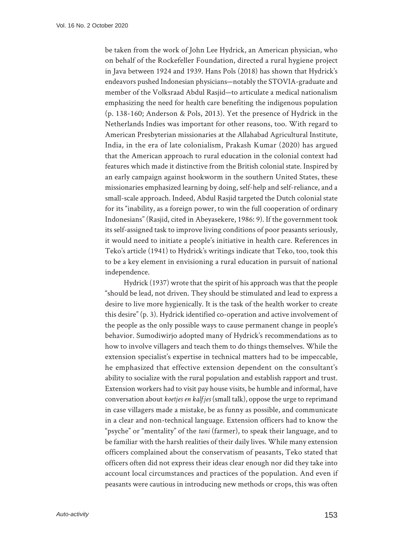be taken from the work of John Lee Hydrick, an American physician, who on behalf of the Rockefeller Foundation, directed a rural hygiene project in Java between 1924 and 1939. Hans Pols (2018) has shown that Hydrick's endeavors pushed Indonesian physicians—notably the STOVIA-graduate and member of the Volksraad Abdul Rasjid—to articulate a medical nationalism emphasizing the need for health care benefiting the indigenous population (p. 138-160; Anderson & Pols, 2013). Yet the presence of Hydrick in the Netherlands Indies was important for other reasons, too. With regard to American Presbyterian missionaries at the Allahabad Agricultural Institute, India, in the era of late colonialism, Prakash Kumar (2020) has argued that the American approach to rural education in the colonial context had features which made it distinctive from the British colonial state. Inspired by an early campaign against hookworm in the southern United States, these missionaries emphasized learning by doing, self-help and self-reliance, and a small-scale approach. Indeed, Abdul Rasjid targeted the Dutch colonial state for its "inability, as a foreign power, to win the full cooperation of ordinary Indonesians" (Rasjid, cited in Abeyasekere, 1986: 9). If the government took its self-assigned task to improve living conditions of poor peasants seriously, it would need to initiate a people's initiative in health care. References in Teko's article (1941) to Hydrick's writings indicate that Teko, too, took this to be a key element in envisioning a rural education in pursuit of national independence.

Hydrick (1937) wrote that the spirit of his approach was that the people "should be lead, not driven. They should be stimulated and lead to express a desire to live more hygienically. It is the task of the health worker to create this desire" (p. 3). Hydrick identified co-operation and active involvement of the people as the only possible ways to cause permanent change in people's behavior. Sumodiwirjo adopted many of Hydrick's recommendations as to how to involve villagers and teach them to do things themselves. While the extension specialist's expertise in technical matters had to be impeccable, he emphasized that effective extension dependent on the consultant's ability to socialize with the rural population and establish rapport and trust. Extension workers had to visit pay house visits, be humble and informal, have conversation about *koetjes en kalfjes* (small talk), oppose the urge to reprimand in case villagers made a mistake, be as funny as possible, and communicate in a clear and non-technical language. Extension officers had to know the "psyche" or "mentality" of the *tani* (farmer), to speak their language, and to be familiar with the harsh realities of their daily lives. While many extension officers complained about the conservatism of peasants, Teko stated that officers often did not express their ideas clear enough nor did they take into account local circumstances and practices of the population. And even if peasants were cautious in introducing new methods or crops, this was often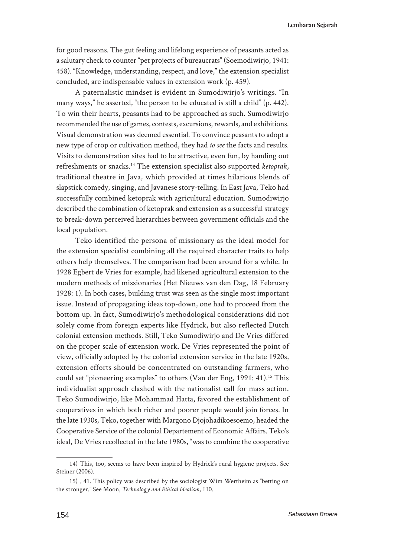**Lembaran Sejarah**

for good reasons. The gut feeling and lifelong experience of peasants acted as a salutary check to counter "pet projects of bureaucrats" (Soemodiwirjo, 1941: 458). "Knowledge, understanding, respect, and love," the extension specialist concluded, are indispensable values in extension work (p. 459).

A paternalistic mindset is evident in Sumodiwirjo's writings. "In many ways," he asserted, "the person to be educated is still a child" (p. 442). To win their hearts, peasants had to be approached as such. Sumodiwirjo recommended the use of games, contests, excursions, rewards, and exhibitions. Visual demonstration was deemed essential. To convince peasants to adopt a new type of crop or cultivation method, they had *to see* the facts and results. Visits to demonstration sites had to be attractive, even fun, by handing out refreshments or snacks.14 The extension specialist also supported *ketoprak*, traditional theatre in Java, which provided at times hilarious blends of slapstick comedy, singing, and Javanese story-telling. In East Java, Teko had successfully combined ketoprak with agricultural education. Sumodiwirjo described the combination of ketoprak and extension as a successful strategy to break-down perceived hierarchies between government officials and the local population.

Teko identified the persona of missionary as the ideal model for the extension specialist combining all the required character traits to help others help themselves. The comparison had been around for a while. In 1928 Egbert de Vries for example, had likened agricultural extension to the modern methods of missionaries (Het Nieuws van den Dag, 18 February 1928: 1). In both cases, building trust was seen as the single most important issue. Instead of propagating ideas top-down, one had to proceed from the bottom up. In fact, Sumodiwirjo's methodological considerations did not solely come from foreign experts like Hydrick, but also reflected Dutch colonial extension methods. Still, Teko Sumodiwirjo and De Vries differed on the proper scale of extension work. De Vries represented the point of view, officially adopted by the colonial extension service in the late 1920s, extension efforts should be concentrated on outstanding farmers, who could set "pioneering examples" to others (Van der Eng, 1991: 41).<sup>15</sup> This individualist approach clashed with the nationalist call for mass action. Teko Sumodiwirjo, like Mohammad Hatta, favored the establishment of cooperatives in which both richer and poorer people would join forces. In the late 1930s, Teko, together with Margono Djojohadikoesoemo, headed the Cooperative Service of the colonial Departement of Economic Affairs. Teko's ideal, De Vries recollected in the late 1980s, "was to combine the cooperative

<sup>14)</sup> This, too, seems to have been inspired by Hydrick's rural hygiene projects. See Steiner (2006).

<sup>15)</sup> , 41. This policy was described by the sociologist Wim Wertheim as "betting on the stronger." See Moon, *Technology and Ethical Idealism*, 110.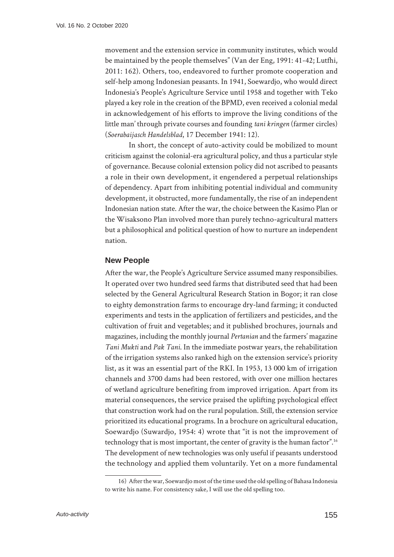movement and the extension service in community institutes, which would be maintained by the people themselves" (Van der Eng, 1991: 41-42; Lutfhi, 2011: 162). Others, too, endeavored to further promote cooperation and self-help among Indonesian peasants. In 1941, Soewardjo, who would direct Indonesia's People's Agriculture Service until 1958 and together with Teko played a key role in the creation of the BPMD, even received a colonial medal in acknowledgement of his efforts to improve the living conditions of the little man' through private courses and founding *tani kringen* (farmer circles) (*Soerabaijasch Handelsblad*, 17 December 1941: 12).

In short, the concept of auto-activity could be mobilized to mount criticism against the colonial-era agricultural policy, and thus a particular style of governance. Because colonial extension policy did not ascribed to peasants a role in their own development, it engendered a perpetual relationships of dependency. Apart from inhibiting potential individual and community development, it obstructed, more fundamentally, the rise of an independent Indonesian nation state. After the war, the choice between the Kasimo Plan or the Wisaksono Plan involved more than purely techno-agricultural matters but a philosophical and political question of how to nurture an independent nation.

### **New People**

After the war, the People's Agriculture Service assumed many responsibilies. It operated over two hundred seed farms that distributed seed that had been selected by the General Agricultural Research Station in Bogor; it ran close to eighty demonstration farms to encourage dry-land farming; it conducted experiments and tests in the application of fertilizers and pesticides, and the cultivation of fruit and vegetables; and it published brochures, journals and magazines, including the monthly journal *Pertanian* and the farmers' magazine *Tani Mukti* and *Pak Tani*. In the immediate postwar years, the rehabilitation of the irrigation systems also ranked high on the extension service's priority list, as it was an essential part of the RKI. In 1953, 13 000 km of irrigation channels and 3700 dams had been restored, with over one million hectares of wetland agriculture benefiting from improved irrigation. Apart from its material consequences, the service praised the uplifting psychological effect that construction work had on the rural population. Still, the extension service prioritized its educational programs. In a brochure on agricultural education, Soewardjo (Suwardjo, 1954: 4) wrote that "it is not the improvement of technology that is most important, the center of gravity is the human factor".<sup>16</sup> The development of new technologies was only useful if peasants understood the technology and applied them voluntarily. Yet on a more fundamental

<sup>16)</sup> After the war, Soewardjo most of the time used the old spelling of Bahasa Indonesia to write his name. For consistency sake, I will use the old spelling too.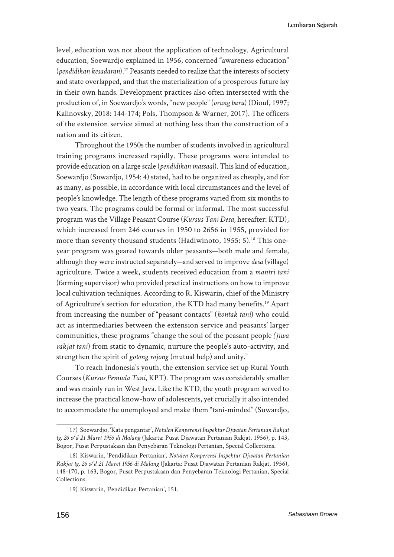level, education was not about the application of technology. Agricultural education, Soewardjo explained in 1956, concerned "awareness education" (*pendidikan kesadaran*).17 Peasants needed to realize that the interests of society and state overlapped, and that the materialization of a prosperous future lay in their own hands. Development practices also often intersected with the production of, in Soewardjo's words, "new people" (*orang baru*) (Diouf, 1997; Kalinovsky, 2018: 144-174; Pols, Thompson & Warner, 2017). The officers of the extension service aimed at nothing less than the construction of a nation and its citizen.

Throughout the 1950s the number of students involved in agricultural training programs increased rapidly. These programs were intended to provide education on a large scale (*pendidikan massaal*). This kind of education, Soewardjo (Suwardjo, 1954: 4) stated, had to be organized as cheaply, and for as many, as possible, in accordance with local circumstances and the level of people's knowledge. The length of these programs varied from six months to two years. The programs could be formal or informal. The most successful program was the Village Peasant Course (*Kursus Tani Desa*, hereafter: KTD), which increased from 246 courses in 1950 to 2656 in 1955, provided for more than seventy thousand students (Hadiwinoto, 1955: 5).<sup>18</sup> This oneyear program was geared towards older peasants—both male and female, although they were instructed separately—and served to improve *desa* (village) agriculture. Twice a week, students received education from a *mantri tani* (farming supervisor) who provided practical instructions on how to improve local cultivation techniques. According to R. Kiswarin, chief of the Ministry of Agriculture's section for education, the KTD had many benefits.<sup>19</sup> Apart from increasing the number of "peasant contacts" (*kontak tani*) who could act as intermediaries between the extension service and peasants' larger communities, these programs "change the soul of the peasant people *(jiwa rakjat tani*) from static to dynamic, nurture the people's auto-activity, and strengthen the spirit of *gotong rojong* (mutual help) and unity."

To reach Indonesia's youth, the extension service set up Rural Youth Courses (*Kursus Pemuda Tani*, KPT). The program was considerably smaller and was mainly run in West Java. Like the KTD, the youth program served to increase the practical know-how of adolescents, yet crucially it also intended to accommodate the unemployed and make them "tani-minded" (Suwardjo,

<sup>17)</sup> Soewardjo, 'Kata pengantar', *Notulen Konperensi Inspektur Djwatan Pertanian Rakjat tg. 26 s/d 21 Maret 1956 di Malang* (Jakarta: Pusat Djawatan Pertanian Rakjat, 1956), p. 143, Bogor, Pusat Perpustakaan dan Penyebaran Teknologi Pertanian, Special Collections.

<sup>18)</sup> Kiswarin, 'Pendidikan Pertanian', *Notulen Konperensi Inspektur Djwatan Pertanian Rakjat tg. 26 s/d 21 Maret 1956 di Malang* (Jakarta: Pusat Djawatan Pertanian Rakjat, 1956), 148-170, p. 163, Bogor, Pusat Perpustakaan dan Penyebaran Teknologi Pertanian, Special Collections.

<sup>19)</sup> Kiswarin, 'Pendidikan Pertanian', 151.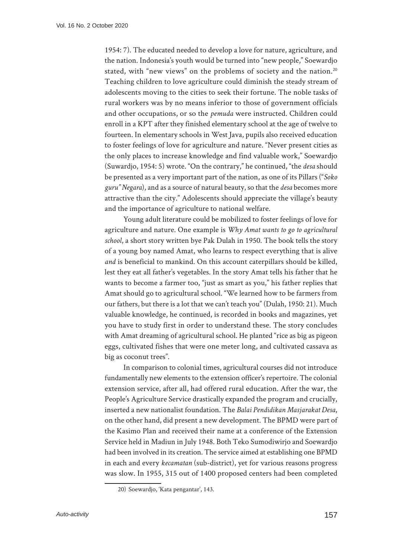1954: 7). The educated needed to develop a love for nature, agriculture, and the nation. Indonesia's youth would be turned into "new people," Soewardjo stated, with "new views" on the problems of society and the nation.<sup>20</sup> Teaching children to love agriculture could diminish the steady stream of adolescents moving to the cities to seek their fortune. The noble tasks of rural workers was by no means inferior to those of government officials and other occupations, or so the *pemuda* were instructed. Children could enroll in a KPT after they finished elementary school at the age of twelve to fourteen. In elementary schools in West Java, pupils also received education to foster feelings of love for agriculture and nature. "Never present cities as the only places to increase knowledge and find valuable work," Soewardjo (Suwardjo, 1954: 5) wrote. "On the contrary," he continued, "the *desa* should be presented as a very important part of the nation, as one of its Pillars ("*Soko guru" Negara*), and as a source of natural beauty, so that the *desa* becomes more attractive than the city." Adolescents should appreciate the village's beauty and the importance of agriculture to national welfare.

Young adult literature could be mobilized to foster feelings of love for agriculture and nature. One example is *Why Amat wants to go to agricultural school*, a short story written bye Pak Dulah in 1950. The book tells the story of a young boy named Amat, who learns to respect everything that is alive *and* is beneficial to mankind. On this account caterpillars should be killed, lest they eat all father's vegetables. In the story Amat tells his father that he wants to become a farmer too, "just as smart as you," his father replies that Amat should go to agricultural school. "We learned how to be farmers from our fathers, but there is a lot that we can't teach you" (Dulah, 1950: 21). Much valuable knowledge, he continued, is recorded in books and magazines, yet you have to study first in order to understand these. The story concludes with Amat dreaming of agricultural school. He planted "rice as big as pigeon eggs, cultivated fishes that were one meter long, and cultivated cassava as big as coconut trees".

In comparison to colonial times, agricultural courses did not introduce fundamentally new elements to the extension officer's repertoire. The colonial extension service, after all, had offered rural education. After the war, the People's Agriculture Service drastically expanded the program and crucially, inserted a new nationalist foundation. The *Balai Pendidikan Masjarakat Desa*, on the other hand, did present a new development. The BPMD were part of the Kasimo Plan and received their name at a conference of the Extension Service held in Madiun in July 1948. Both Teko Sumodiwirjo and Soewardjo had been involved in its creation. The service aimed at establishing one BPMD in each and every *kecamatan* (sub-district), yet for various reasons progress was slow. In 1955, 315 out of 1400 proposed centers had been completed

<sup>20)</sup> Soewardjo, 'Kata pengantar', 143.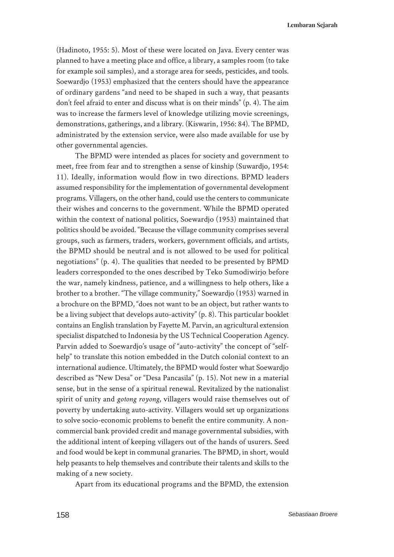(Hadinoto, 1955: 5). Most of these were located on Java. Every center was planned to have a meeting place and office, a library, a samples room (to take for example soil samples), and a storage area for seeds, pesticides, and tools. Soewardjo (1953) emphasized that the centers should have the appearance of ordinary gardens "and need to be shaped in such a way, that peasants don't feel afraid to enter and discuss what is on their minds" (p. 4). The aim was to increase the farmers level of knowledge utilizing movie screenings, demonstrations, gatherings, and a library. (Kiswarin, 1956: 84). The BPMD, administrated by the extension service, were also made available for use by other governmental agencies.

The BPMD were intended as places for society and government to meet, free from fear and to strengthen a sense of kinship (Suwardjo, 1954: 11). Ideally, information would flow in two directions. BPMD leaders assumed responsibility for the implementation of governmental development programs. Villagers, on the other hand, could use the centers to communicate their wishes and concerns to the government. While the BPMD operated within the context of national politics, Soewardjo (1953) maintained that politics should be avoided. "Because the village community comprises several groups, such as farmers, traders, workers, government officials, and artists, the BPMD should be neutral and is not allowed to be used for political negotiations" (p. 4). The qualities that needed to be presented by BPMD leaders corresponded to the ones described by Teko Sumodiwirjo before the war, namely kindness, patience, and a willingness to help others, like a brother to a brother. "The village community," Soewardjo (1953) warned in a brochure on the BPMD, "does not want to be an object, but rather wants to be a living subject that develops auto-activity" (p. 8). This particular booklet contains an English translation by Fayette M. Parvin, an agricultural extension specialist dispatched to Indonesia by the US Technical Cooperation Agency. Parvin added to Soewardjo's usage of "auto-activity" the concept of "selfhelp" to translate this notion embedded in the Dutch colonial context to an international audience. Ultimately, the BPMD would foster what Soewardjo described as "New Desa" or "Desa Pancasila" (p. 15). Not new in a material sense, but in the sense of a spiritual renewal. Revitalized by the nationalist spirit of unity and *gotong royong*, villagers would raise themselves out of poverty by undertaking auto-activity. Villagers would set up organizations to solve socio-economic problems to benefit the entire community. A noncommercial bank provided credit and manage governmental subsidies, with the additional intent of keeping villagers out of the hands of usurers. Seed and food would be kept in communal granaries. The BPMD, in short, would help peasants to help themselves and contribute their talents and skills to the making of a new society.

Apart from its educational programs and the BPMD, the extension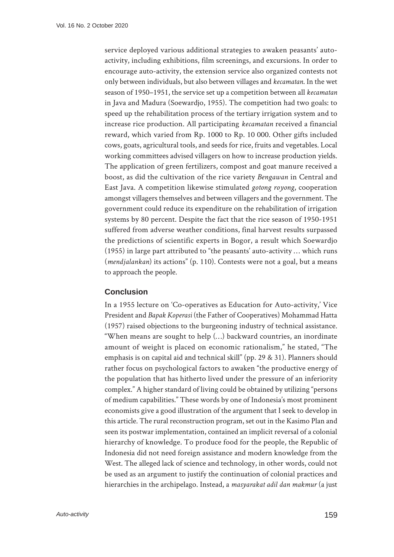service deployed various additional strategies to awaken peasants' autoactivity, including exhibitions, film screenings, and excursions. In order to encourage auto-activity, the extension service also organized contests not only between individuals, but also between villages and *kecamatan*. In the wet season of 1950–1951, the service set up a competition between all *kecamatan* in Java and Madura (Soewardjo, 1955). The competition had two goals: to speed up the rehabilitation process of the tertiary irrigation system and to increase rice production. All participating *kecamatan* received a financial reward, which varied from Rp. 1000 to Rp. 10 000. Other gifts included cows, goats, agricultural tools, and seeds for rice, fruits and vegetables. Local working committees advised villagers on how to increase production yields. The application of green fertilizers, compost and goat manure received a boost, as did the cultivation of the rice variety *Bengawan* in Central and East Java. A competition likewise stimulated *gotong royong*, cooperation amongst villagers themselves and between villagers and the government. The government could reduce its expenditure on the rehabilitation of irrigation systems by 80 percent. Despite the fact that the rice season of 1950-1951 suffered from adverse weather conditions, final harvest results surpassed the predictions of scientific experts in Bogor, a result which Soewardjo (1955) in large part attributed to "the peasants' auto-activity … which runs (*mendjalankan*) its actions" (p. 110). Contests were not a goal, but a means to approach the people.

#### **Conclusion**

In a 1955 lecture on 'Co-operatives as Education for Auto-activity,' Vice President and *Bapak Koperasi* (the Father of Cooperatives) Mohammad Hatta (1957) raised objections to the burgeoning industry of technical assistance. "When means are sought to help (…) backward countries, an inordinate amount of weight is placed on economic rationalism," he stated, "The emphasis is on capital aid and technical skill" (pp. 29 & 31). Planners should rather focus on psychological factors to awaken "the productive energy of the population that has hitherto lived under the pressure of an inferiority complex." A higher standard of living could be obtained by utilizing "persons of medium capabilities." These words by one of Indonesia's most prominent economists give a good illustration of the argument that I seek to develop in this article. The rural reconstruction program, set out in the Kasimo Plan and seen its postwar implementation, contained an implicit reversal of a colonial hierarchy of knowledge. To produce food for the people, the Republic of Indonesia did not need foreign assistance and modern knowledge from the West. The alleged lack of science and technology, in other words, could not be used as an argument to justify the continuation of colonial practices and hierarchies in the archipelago. Instead, a *masyarakat adil dan makmur* (a just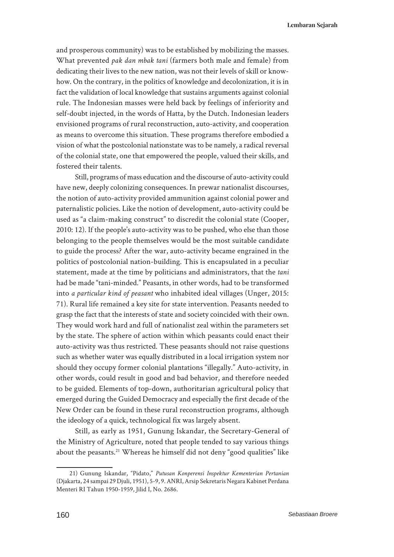and prosperous community) was to be established by mobilizing the masses. What prevented *pak dan mbak tani* (farmers both male and female) from dedicating their lives to the new nation, was not their levels of skill or knowhow. On the contrary, in the politics of knowledge and decolonization, it is in fact the validation of local knowledge that sustains arguments against colonial rule. The Indonesian masses were held back by feelings of inferiority and self-doubt injected, in the words of Hatta, by the Dutch. Indonesian leaders envisioned programs of rural reconstruction, auto-activity, and cooperation as means to overcome this situation. These programs therefore embodied a vision of what the postcolonial nationstate was to be namely, a radical reversal of the colonial state, one that empowered the people, valued their skills, and fostered their talents.

Still, programs of mass education and the discourse of auto-activity could have new, deeply colonizing consequences. In prewar nationalist discourses, the notion of auto-activity provided ammunition against colonial power and paternalistic policies. Like the notion of development, auto-activity could be used as "a claim-making construct" to discredit the colonial state (Cooper, 2010: 12). If the people's auto-activity was to be pushed, who else than those belonging to the people themselves would be the most suitable candidate to guide the process? After the war, auto-activity became engrained in the politics of postcolonial nation-building. This is encapsulated in a peculiar statement, made at the time by politicians and administrators, that the *tani*  had be made "tani-minded." Peasants, in other words, had to be transformed into *a particular kind of peasant* who inhabited ideal villages (Unger, 2015: 71). Rural life remained a key site for state intervention. Peasants needed to grasp the fact that the interests of state and society coincided with their own. They would work hard and full of nationalist zeal within the parameters set by the state. The sphere of action within which peasants could enact their auto-activity was thus restricted. These peasants should not raise questions such as whether water was equally distributed in a local irrigation system nor should they occupy former colonial plantations "illegally." Auto-activity, in other words, could result in good and bad behavior, and therefore needed to be guided. Elements of top-down, authoritarian agricultural policy that emerged during the Guided Democracy and especially the first decade of the New Order can be found in these rural reconstruction programs, although the ideology of a quick, technological fix was largely absent.

Still, as early as 1951, Gunung Iskandar, the Secretary-General of the Ministry of Agriculture, noted that people tended to say various things about the peasants.<sup>21</sup> Whereas he himself did not deny "good qualities" like

<sup>21)</sup> Gunung Iskandar, "Pidato," *Putusan Konperensi Inspektur Kementerian Pertanian*  (Djakarta, 24 sampai 29 Djuli, 1951), 5-9, 9. ANRI, Arsip Sekretaris Negara Kabinet Perdana Menteri RI Tahun 1950-1959, Jilid I, No. 2686.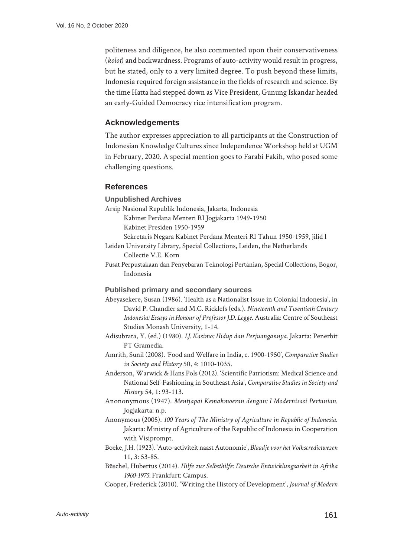politeness and diligence, he also commented upon their conservativeness (*kolot*) and backwardness. Programs of auto-activity would result in progress, but he stated, only to a very limited degree. To push beyond these limits, Indonesia required foreign assistance in the fields of research and science. By the time Hatta had stepped down as Vice President, Gunung Iskandar headed an early-Guided Democracy rice intensification program.

# **Acknowledgements**

The author expresses appreciation to all participants at the Construction of Indonesian Knowledge Cultures since Independence Workshop held at UGM in February, 2020. A special mention goes to Farabi Fakih, who posed some challenging questions.

#### **References**

**Unpublished Archives**

- Arsip Nasional Republik Indonesia, Jakarta, Indonesia
	- Kabinet Perdana Menteri RI Jogjakarta 1949-1950
	- Kabinet Presiden 1950-1959
	- Sekretaris Negara Kabinet Perdana Menteri RI Tahun 1950-1959, jilid I
- Leiden University Library, Special Collections, Leiden, the Netherlands Collectie V.E. Korn
- Pusat Perpustakaan dan Penyebaran Teknologi Pertanian, Special Collections, Bogor, Indonesia

#### **Published primary and secondary sources**

- Abeyasekere, Susan (1986). 'Health as a Nationalist Issue in Colonial Indonesia', in David P. Chandler and M.C. Ricklefs (eds.). *Nineteenth and Twentieth Century Indonesia: Essays in Honour of Professor J.D. Legge*. Australia: Centre of Southeast Studies Monash University, 1-14.
- Adisubrata, Y. (ed.) (1980). *I.J. Kasimo: Hidup dan Perjuangannya.* Jakarta: Penerbit PT Gramedia.
- Amrith, Sunil (2008). 'Food and Welfare in India, c. 1900-1950', *Comparative Studies in Society and History* 50, 4: 1010-1035.
- Anderson, Warwick & Hans Pols (2012). 'Scientific Patriotism: Medical Science and National Self-Fashioning in Southeast Asia', *Comparative Studies in Society and History* 54, 1: 93-113.
- Anononymous (1947). *Mentjapai Kemakmoeran dengan: I Modernisasi Pertanian*. Jogjakarta: n.p.
- Anonymous (2005). *100 Years of The Ministry of Agriculture in Republic of Indonesia*. Jakarta: Ministry of Agriculture of the Republic of Indonesia in Cooperation with Visiprompt.
- Boeke, J.H. (1923). 'Auto-activiteit naast Autonomie', *Blaadje voor het Volkscredietwezen*  11, 3: 53-85.
- Büschel, Hubertus (2014). *Hilfe zur Selbsthilfe: Deutsche Entwicklungsarbeit in Afrika 1960-1975.* Frankfurt: Campus.
- Cooper, Frederick (2010). 'Writing the History of Development', *Journal of Modern*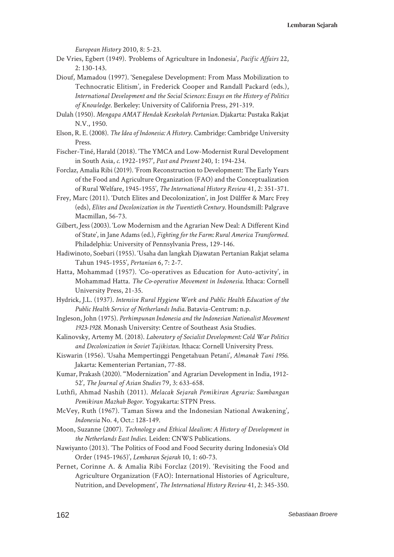*European History* 2010, 8: 5-23.

- De Vries, Egbert (1949). *'*Problems of Agriculture in Indonesia', *Pacific Affairs* 22, 2: 130-143.
- Diouf, Mamadou (1997). 'Senegalese Development: From Mass Mobilization to Technocratic Elitism', in Frederick Cooper and Randall Packard (eds.), *International Development and the Social Sciences: Essays on the History of Politics of Knowledge*. Berkeley: University of California Press, 291-319.
- Dulah (1950). *Mengapa AMAT Hendak Kesekolah Pertanian.* Djakarta: Pustaka Rakjat N.V., 1950.
- Elson, R. E. (2008). *The Idea of Indonesia: A History*. Cambridge: Cambridge University Press.
- Fischer-Tiné, Harald (2018). 'The YMCA and Low-Modernist Rural Development in South Asia, *c.* 1922-1957', *Past and Present* 240, 1: 194-234.
- Forclaz, Amalia Ribi (2019). 'From Reconstruction to Development: The Early Years of the Food and Agriculture Organization (FAO) and the Conceptualization of Rural Welfare, 1945-1955', *The International History Review* 41, 2: 351-371.
- Frey, Marc (2011). 'Dutch Elites and Decolonization', in Jost Dülffer & Marc Frey (eds), *Elites and Decolonization in the Twentieth Century*. Houndsmill: Palgrave Macmillan, 56-73.
- Gilbert, Jess (2003). 'Low Modernism and the Agrarian New Deal: A Different Kind of State', in Jane Adams (ed.), *Fighting for the Farm: Rural America Transformed*. Philadelphia: University of Pennsylvania Press, 129-146.
- Hadiwinoto, Soebari (1955). 'Usaha dan langkah Djawatan Pertanian Rakjat selama Tahun 1945-1955', *Pertanian* 6, 7: 2-7.
- Hatta, Mohammad (1957). 'Co-operatives as Education for Auto-activity', in Mohammad Hatta. *The Co-operative Movement in Indonesia.* Ithaca: Cornell University Press, 21-35.
- Hydrick, J.L. (1937). *Intensive Rural Hygiene Work and Public Health Education of the Public Health Service of Netherlands India.* Batavia-Centrum: n.p.
- Ingleson, John (1975). *Perhimpunan Indonesia and the Indonesian Nationalist Movement 1923-1928*. Monash University: Centre of Southeast Asia Studies.
- Kalinovsky, Artemy M. (2018). *Laboratory of Socialist Development: Cold War Politics and Decolonization in Soviet Tajikistan*. Ithaca: Cornell University Press.
- Kiswarin (1956). 'Usaha Mempertinggi Pengetahuan Petani', *Almanak Tani 1956*. Jakarta: Kementerian Pertanian, 77-88.
- Kumar, Prakash (2020). '"Modernization" and Agrarian Development in India, 1912- 52', *The Journal of Asian Studies* 79, 3: 633-658.
- Luthfi, Ahmad Nashih (2011). *Melacak Sejarah Pemikiran Agraria: Sumbangan Pemikiran Mazhab Bogor*. Yogyakarta: STPN Press.
- McVey, Ruth (1967). 'Taman Siswa and the Indonesian National Awakening', *Indonesia* No. 4, Oct.: 128-149.
- Moon, Suzanne (2007). *Technology and Ethical Idealism: A History of Development in the Netherlands East Indies*. Leiden: CNWS Publications.
- Nawiyanto (2013). 'The Politics of Food and Food Security during Indonesia's Old Order (1945-1965)', *Lembaran Sejarah* 10, 1: 60-73.
- Pernet, Corinne A. & Amalia Ribi Forclaz (2019). 'Revisiting the Food and Agriculture Organization (FAO): International Histories of Agriculture, Nutrition, and Development', *The International History Review* 41, 2: 345-350.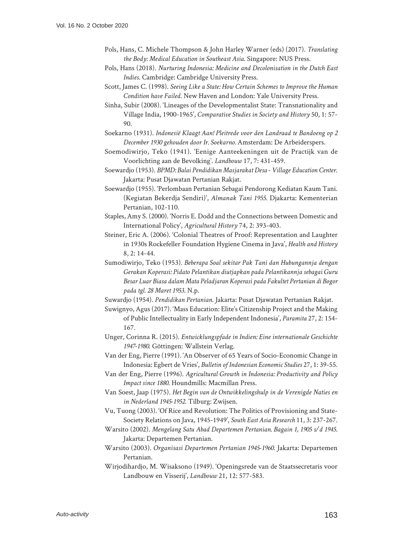- Pols, Hans, C. Michele Thompson & John Harley Warner (eds) (2017). *Translating the Body: Medical Education in Southeast Asia*. Singapore: NUS Press.
- Pols, Hans (2018). *Nurturing Indonesia: Medicine and Decolonisation in the Dutch East Indies*. Cambridge: Cambridge University Press.
- Scott, James C. (1998). *Seeing Like a State: How Certain Schemes to Improve the Human Condition have Failed*. New Haven and London: Yale University Press.
- Sinha, Subir (2008). 'Lineages of the Developmentalist State: Transnationality and Village India, 1900-1965', *Comparative Studies in Society and History* 50, 1: 57- 90.
- Soekarno (1931). *Indonesië Klaagt Aan! Pleitrede voor den Landraad te Bandoeng op 2 December 1930 gehouden door Ir. Soekarno.* Amsterdam: De Arbeiderspers.
- Soemodiwirjo, Teko (1941). 'Eenige Aanteekeningen uit de Practijk van de Voorlichting aan de Bevolking'. *Landbouw* 17, 7: 431-459.
- Soewardjo (1953). *BPMD: Balai Pendidikan Masjarakat Desa Village Education Center*. Jakarta: Pusat Djawatan Pertanian Rakjat.
- Soewardjo (1955). 'Perlombaan Pertanian Sebagai Pendorong Kediatan Kaum Tani. (Kegiatan Bekerdja Sendiri)', *Almanak Tani 1955*. Djakarta: Kementerian Pertanian, 102-110.
- Staples, Amy S. (2000). 'Norris E. Dodd and the Connections between Domestic and International Policy', *Agricultural History* 74, 2: 393-403.
- Steiner, Eric A. (2006). 'Colonial Theatres of Proof: Representation and Laughter in 1930s Rockefeller Foundation Hygiene Cinema in Java', *Health and History*  8, 2: 14-44.
- Sumodiwirjo, Teko (1953). *Beberapa Soal sekitar Pak Tani dan Hubungannja dengan Gerakan Koperasi: Pidato Pelantikan diutjapkan pada Pelantikannja sebagai Guru Besar Luar Biasa dalam Mata Peladjaran Koperasi pada Fakultet Pertanian di Bogor pada tgl. 28 Maret 1953*. N.p.
- Suwardjo (1954). *Pendidikan Pertanian*. Jakarta: Pusat Djawatan Pertanian Rakjat.
- Suwignyo, Agus (2017). 'Mass Education: Elite's Citizenship Project and the Making of Public Intellectuality in Early Independent Indonesia', *Paramita* 27, 2: 154- 167.
- Unger, Corinna R. (2015). *Entwicklungspfade in Indien: Eine internationale Geschichte 1947-1980*. Göttingen: Wallstein Verlag.
- Van der Eng, Pierre (1991). 'An Observer of 65 Years of Socio-Economic Change in Indonesia: Egbert de Vries', *Bulletin of Indonesian Economic Studies* 27, 1: 39-55.
- Van der Eng, Pierre (1996). *Agricultural Growth in Indonesia: Productivity and Policy Impact since 1880*. Houndmills: Macmillan Press.
- Van Soest, Jaap (1975). *Het Begin van de Ontwikkelingshulp in de Verenigde Naties en in Nederland 1945-1952*. Tilburg: Zwijsen.
- Vu, Tuong (2003). 'Of Rice and Revolution: The Politics of Provisioning and State-Society Relations on Java, 1945-1949', *South East Asia Research* 11, 3: 237-267.
- Warsito (2002). *Mengelang Satu Abad Departemen Pertanian. Bagain 1, 1905 s/d 1945*. Jakarta: Departemen Pertanian.
- Warsito (2003). *Organisasi Departemen Pertanian 1945-1960*. Jakarta: Departemen Pertanian.
- Wirjodihardjo, M. Wisaksono (1949). 'Openingsrede van de Staatssecretaris voor Landbouw en Visserij', *Landbouw* 21, 12: 577-583.